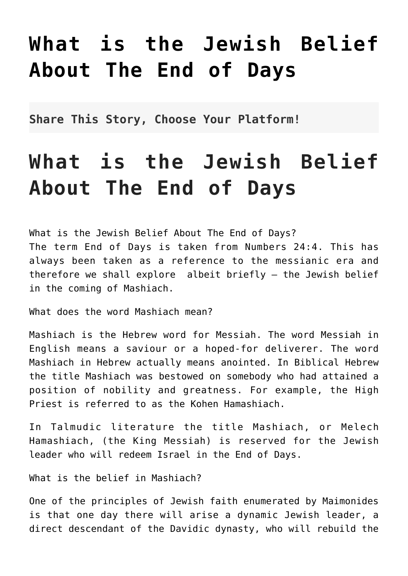## **[What is the Jewish Belief](http://noahide.org/what-is-the-jewish-belief-about-the-end-of-days/) [About The End of Days](http://noahide.org/what-is-the-jewish-belief-about-the-end-of-days/)**

**Share This Story, Choose Your Platform!**

## **What is the Jewish Belief About The End of Days**

What is the Jewish Belief About The End of Days? The term End of Days is taken from Numbers 24:4. This has always been taken as a reference to the messianic era and therefore we shall explore albeit briefly – the Jewish belief in the coming of Mashiach.

What does the word Mashiach mean?

Mashiach is the Hebrew word for Messiah. The word Messiah in English means a saviour or a hoped-for deliverer. The word Mashiach in Hebrew actually means anointed. In Biblical Hebrew the title Mashiach was bestowed on somebody who had attained a position of nobility and greatness. For example, the High Priest is referred to as the Kohen Hamashiach.

In Talmudic literature the title Mashiach, or Melech Hamashiach, (the King Messiah) is reserved for the Jewish leader who will redeem Israel in the End of Days.

What is the belief in Mashiach?

One of the principles of Jewish faith enumerated by Maimonides is that one day there will arise a dynamic Jewish leader, a direct descendant of the Davidic dynasty, who will rebuild the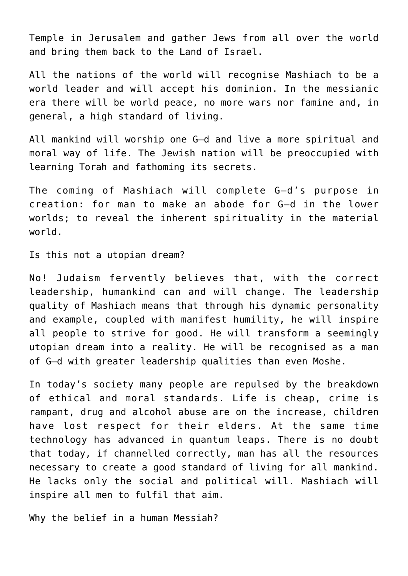Temple in Jerusalem and gather Jews from all over the world and bring them back to the Land of Israel.

All the nations of the world will recognise Mashiach to be a world leader and will accept his dominion. In the messianic era there will be world peace, no more wars nor famine and, in general, a high standard of living.

All mankind will worship one G–d and live a more spiritual and moral way of life. The Jewish nation will be preoccupied with learning Torah and fathoming its secrets.

The coming of Mashiach will complete G–d's purpose in creation: for man to make an abode for G–d in the lower worlds; to reveal the inherent spirituality in the material world.

Is this not a utopian dream?

No! Judaism fervently believes that, with the correct leadership, humankind can and will change. The leadership quality of Mashiach means that through his dynamic personality and example, coupled with manifest humility, he will inspire all people to strive for good. He will transform a seemingly utopian dream into a reality. He will be recognised as a man of G–d with greater leadership qualities than even Moshe.

In today's society many people are repulsed by the breakdown of ethical and moral standards. Life is cheap, crime is rampant, drug and alcohol abuse are on the increase, children have lost respect for their elders. At the same time technology has advanced in quantum leaps. There is no doubt that today, if channelled correctly, man has all the resources necessary to create a good standard of living for all mankind. He lacks only the social and political will. Mashiach will inspire all men to fulfil that aim.

Why the belief in a human Messiah?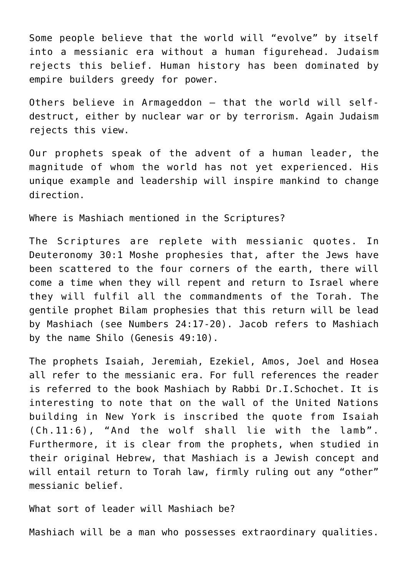Some people believe that the world will "evolve" by itself into a messianic era without a human figurehead. Judaism rejects this belief. Human history has been dominated by empire builders greedy for power.

Others believe in Armageddon – that the world will selfdestruct, either by nuclear war or by terrorism. Again Judaism rejects this view.

Our prophets speak of the advent of a human leader, the magnitude of whom the world has not yet experienced. His unique example and leadership will inspire mankind to change direction.

Where is Mashiach mentioned in the Scriptures?

The Scriptures are replete with messianic quotes. In Deuteronomy 30:1 Moshe prophesies that, after the Jews have been scattered to the four corners of the earth, there will come a time when they will repent and return to Israel where they will fulfil all the commandments of the Torah. The gentile prophet Bilam prophesies that this return will be lead by Mashiach (see Numbers 24:17-20). Jacob refers to Mashiach by the name Shilo (Genesis 49:10).

The prophets Isaiah, Jeremiah, Ezekiel, Amos, Joel and Hosea all refer to the messianic era. For full references the reader is referred to the book Mashiach by Rabbi Dr.I.Schochet. It is interesting to note that on the wall of the United Nations building in New York is inscribed the quote from Isaiah (Ch.11:6), "And the wolf shall lie with the lamb". Furthermore, it is clear from the prophets, when studied in their original Hebrew, that Mashiach is a Jewish concept and will entail return to Torah law, firmly ruling out any "other" messianic belief.

What sort of leader will Mashiach be?

Mashiach will be a man who possesses extraordinary qualities.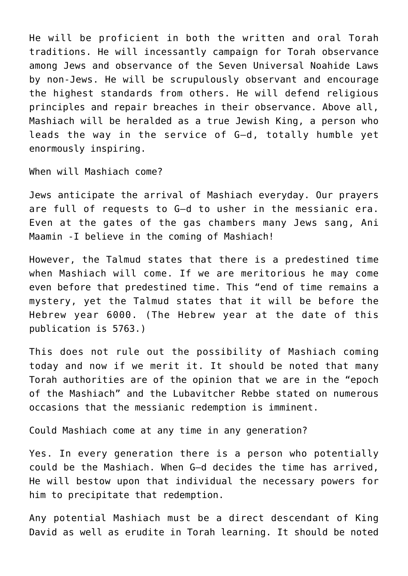He will be proficient in both the written and oral Torah traditions. He will incessantly campaign for Torah observance among Jews and observance of the Seven Universal Noahide Laws by non-Jews. He will be scrupulously observant and encourage the highest standards from others. He will defend religious principles and repair breaches in their observance. Above all, Mashiach will be heralded as a true Jewish King, a person who leads the way in the service of G–d, totally humble yet enormously inspiring.

When will Mashiach come?

Jews anticipate the arrival of Mashiach everyday. Our prayers are full of requests to G–d to usher in the messianic era. Even at the gates of the gas chambers many Jews sang, Ani Maamin -I believe in the coming of Mashiach!

However, the Talmud states that there is a predestined time when Mashiach will come. If we are meritorious he may come even before that predestined time. This "end of time remains a mystery, yet the Talmud states that it will be before the Hebrew year 6000. (The Hebrew year at the date of this publication is 5763.)

This does not rule out the possibility of Mashiach coming today and now if we merit it. It should be noted that many Torah authorities are of the opinion that we are in the "epoch of the Mashiach" and the Lubavitcher Rebbe stated on numerous occasions that the messianic redemption is imminent.

Could Mashiach come at any time in any generation?

Yes. In every generation there is a person who potentially could be the Mashiach. When G–d decides the time has arrived, He will bestow upon that individual the necessary powers for him to precipitate that redemption.

Any potential Mashiach must be a direct descendant of King David as well as erudite in Torah learning. It should be noted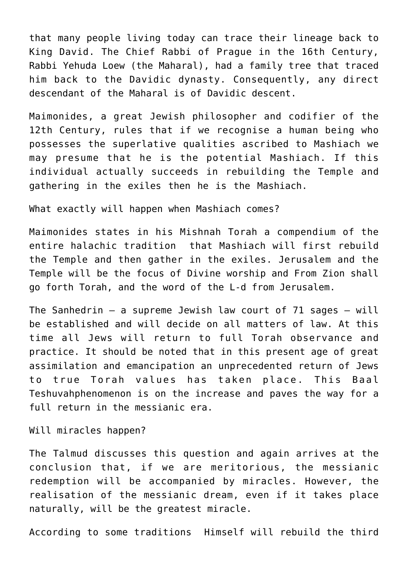that many people living today can trace their lineage back to King David. The Chief Rabbi of Prague in the 16th Century, Rabbi Yehuda Loew (the Maharal), had a family tree that traced him back to the Davidic dynasty. Consequently, any direct descendant of the Maharal is of Davidic descent.

Maimonides, a great Jewish philosopher and codifier of the 12th Century, rules that if we recognise a human being who possesses the superlative qualities ascribed to Mashiach we may presume that he is the potential Mashiach. If this individual actually succeeds in rebuilding the Temple and gathering in the exiles then he is the Mashiach.

What exactly will happen when Mashiach comes?

Maimonides states in his Mishnah Torah a compendium of the entire halachic tradition that Mashiach will first rebuild the Temple and then gather in the exiles. Jerusalem and the Temple will be the focus of Divine worship and From Zion shall go forth Torah, and the word of the L-d from Jerusalem.

The Sanhedrin – a supreme Jewish law court of 71 sages – will be established and will decide on all matters of law. At this time all Jews will return to full Torah observance and practice. It should be noted that in this present age of great assimilation and emancipation an unprecedented return of Jews to true Torah values has taken place. This Baal Teshuvahphenomenon is on the increase and paves the way for a full return in the messianic era.

Will miracles happen?

The Talmud discusses this question and again arrives at the conclusion that, if we are meritorious, the messianic redemption will be accompanied by miracles. However, the realisation of the messianic dream, even if it takes place naturally, will be the greatest miracle.

According to some traditions Himself will rebuild the third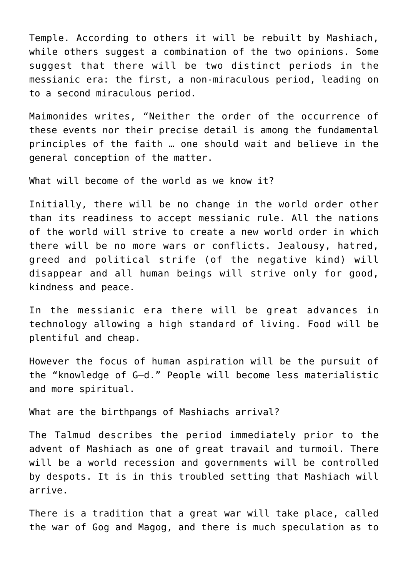Temple. According to others it will be rebuilt by Mashiach, while others suggest a combination of the two opinions. Some suggest that there will be two distinct periods in the messianic era: the first, a non-miraculous period, leading on to a second miraculous period.

Maimonides writes, "Neither the order of the occurrence of these events nor their precise detail is among the fundamental principles of the faith … one should wait and believe in the general conception of the matter.

What will become of the world as we know it?

Initially, there will be no change in the world order other than its readiness to accept messianic rule. All the nations of the world will strive to create a new world order in which there will be no more wars or conflicts. Jealousy, hatred, greed and political strife (of the negative kind) will disappear and all human beings will strive only for good, kindness and peace.

In the messianic era there will be great advances in technology allowing a high standard of living. Food will be plentiful and cheap.

However the focus of human aspiration will be the pursuit of the "knowledge of G–d." People will become less materialistic and more spiritual.

What are the birthpangs of Mashiachs arrival?

The Talmud describes the period immediately prior to the advent of Mashiach as one of great travail and turmoil. There will be a world recession and governments will be controlled by despots. It is in this troubled setting that Mashiach will arrive.

There is a tradition that a great war will take place, called the war of Gog and Magog, and there is much speculation as to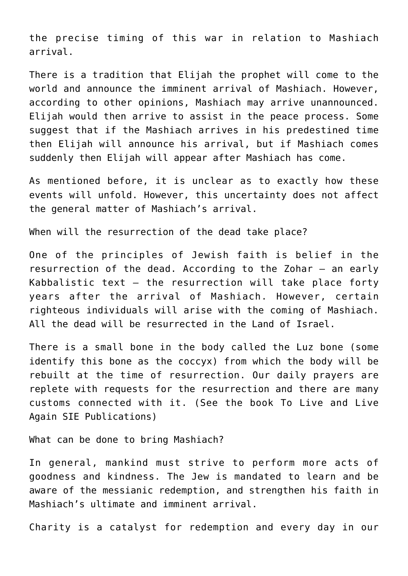the precise timing of this war in relation to Mashiach arrival.

There is a tradition that Elijah the prophet will come to the world and announce the imminent arrival of Mashiach. However, according to other opinions, Mashiach may arrive unannounced. Elijah would then arrive to assist in the peace process. Some suggest that if the Mashiach arrives in his predestined time then Elijah will announce his arrival, but if Mashiach comes suddenly then Elijah will appear after Mashiach has come.

As mentioned before, it is unclear as to exactly how these events will unfold. However, this uncertainty does not affect the general matter of Mashiach's arrival.

When will the resurrection of the dead take place?

One of the principles of Jewish faith is belief in the resurrection of the dead. According to the Zohar – an early Kabbalistic text – the resurrection will take place forty years after the arrival of Mashiach. However, certain righteous individuals will arise with the coming of Mashiach. All the dead will be resurrected in the Land of Israel.

There is a small bone in the body called the Luz bone (some identify this bone as the coccyx) from which the body will be rebuilt at the time of resurrection. Our daily prayers are replete with requests for the resurrection and there are many customs connected with it. (See the book To Live and Live Again SIE Publications)

What can be done to bring Mashiach?

In general, mankind must strive to perform more acts of goodness and kindness. The Jew is mandated to learn and be aware of the messianic redemption, and strengthen his faith in Mashiach's ultimate and imminent arrival.

Charity is a catalyst for redemption and every day in our